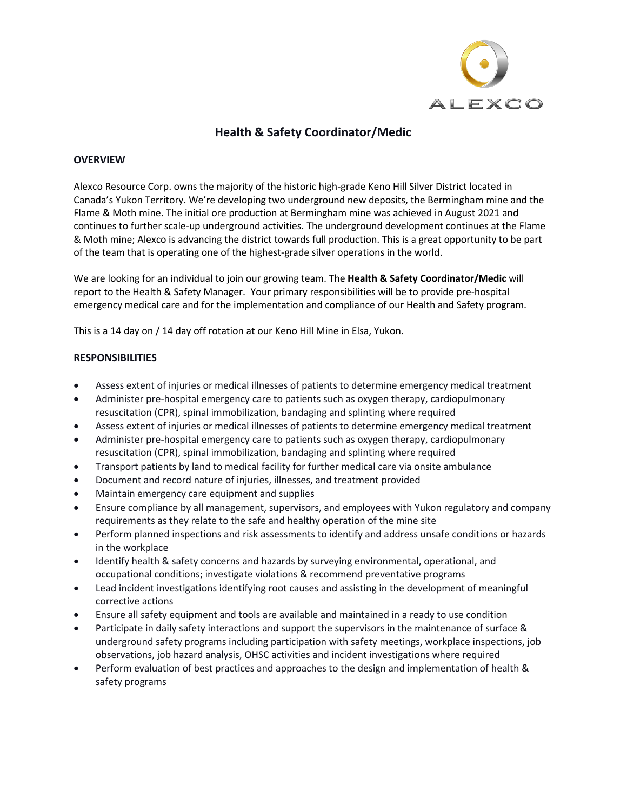

# **Health & Safety Coordinator/Medic**

#### **OVERVIEW**

Alexco Resource Corp. owns the majority of the historic high-grade Keno Hill Silver District located in Canada's Yukon Territory. We're developing two underground new deposits, the Bermingham mine and the Flame & Moth mine. The initial ore production at Bermingham mine was achieved in August 2021 and continues to further scale-up underground activities. The underground development continues at the Flame & Moth mine; Alexco is advancing the district towards full production. This is a great opportunity to be part of the team that is operating one of the highest-grade silver operations in the world.

We are looking for an individual to join our growing team. The **Health & Safety Coordinator/Medic** will report to the Health & Safety Manager. Your primary responsibilities will be to provide pre-hospital emergency medical care and for the implementation and compliance of our Health and Safety program.

This is a 14 day on / 14 day off rotation at our Keno Hill Mine in Elsa, Yukon.

## **RESPONSIBILITIES**

- Assess extent of injuries or medical illnesses of patients to determine emergency medical treatment
- Administer pre-hospital emergency care to patients such as oxygen therapy, cardiopulmonary resuscitation (CPR), spinal immobilization, bandaging and splinting where required
- Assess extent of injuries or medical illnesses of patients to determine emergency medical treatment
- Administer pre-hospital emergency care to patients such as oxygen therapy, cardiopulmonary resuscitation (CPR), spinal immobilization, bandaging and splinting where required
- Transport patients by land to medical facility for further medical care via onsite ambulance
- Document and record nature of injuries, illnesses, and treatment provided
- Maintain emergency care equipment and supplies
- Ensure compliance by all management, supervisors, and employees with Yukon regulatory and company requirements as they relate to the safe and healthy operation of the mine site
- Perform planned inspections and risk assessments to identify and address unsafe conditions or hazards in the workplace
- Identify health & safety concerns and hazards by surveying environmental, operational, and occupational conditions; investigate violations & recommend preventative programs
- Lead incident investigations identifying root causes and assisting in the development of meaningful corrective actions
- Ensure all safety equipment and tools are available and maintained in a ready to use condition
- Participate in daily safety interactions and support the supervisors in the maintenance of surface & underground safety programs including participation with safety meetings, workplace inspections, job observations, job hazard analysis, OHSC activities and incident investigations where required
- Perform evaluation of best practices and approaches to the design and implementation of health & safety programs